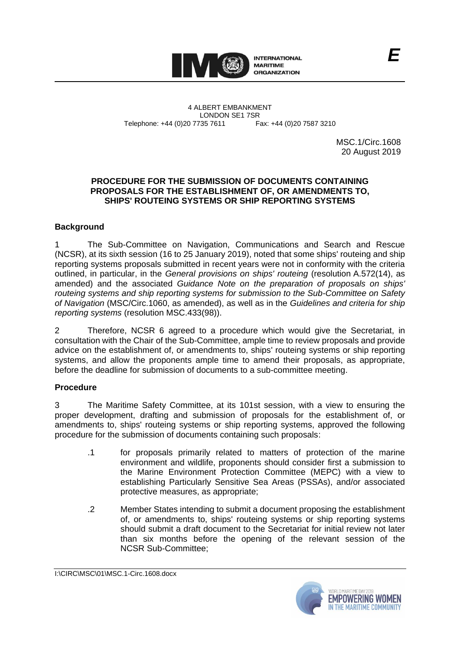

4 ALBERT EMBANKMENT Telephone: +44 (0)20 7735 7611

LONDON SE1 7SR<br>735 7611 Fax: +44 (0)20 7587 3210

MSC.1/Circ.1608 20 August 2019

## **PROCEDURE FOR THE SUBMISSION OF DOCUMENTS CONTAINING PROPOSALS FOR THE ESTABLISHMENT OF, OR AMENDMENTS TO, SHIPS' ROUTEING SYSTEMS OR SHIP REPORTING SYSTEMS**

## **Background**

1 The Sub-Committee on Navigation, Communications and Search and Rescue (NCSR), at its sixth session (16 to 25 January 2019), noted that some ships' routeing and ship reporting systems proposals submitted in recent years were not in conformity with the criteria outlined, in particular, in the *General provisions on ships' routeing* (resolution A.572(14), as amended) and the associated *Guidance Note on the preparation of proposals on ships' routeing systems and ship reporting systems for submission to the Sub-Committee on Safety of Navigation* (MSC/Circ.1060, as amended), as well as in the *Guidelines and criteria for ship reporting systems* (resolution MSC.433(98)).

2 Therefore, NCSR 6 agreed to a procedure which would give the Secretariat, in consultation with the Chair of the Sub-Committee, ample time to review proposals and provide advice on the establishment of, or amendments to, ships' routeing systems or ship reporting systems, and allow the proponents ample time to amend their proposals, as appropriate, before the deadline for submission of documents to a sub-committee meeting.

## **Procedure**

3 The Maritime Safety Committee, at its 101st session, with a view to ensuring the proper development, drafting and submission of proposals for the establishment of, or amendments to, ships' routeing systems or ship reporting systems, approved the following procedure for the submission of documents containing such proposals:

- .1 for proposals primarily related to matters of protection of the marine environment and wildlife, proponents should consider first a submission to the Marine Environment Protection Committee (MEPC) with a view to establishing Particularly Sensitive Sea Areas (PSSAs), and/or associated protective measures, as appropriate;
- .2 Member States intending to submit a document proposing the establishment of, or amendments to, ships' routeing systems or ship reporting systems should submit a draft document to the Secretariat for initial review not later than six months before the opening of the relevant session of the NCSR Sub-Committee;